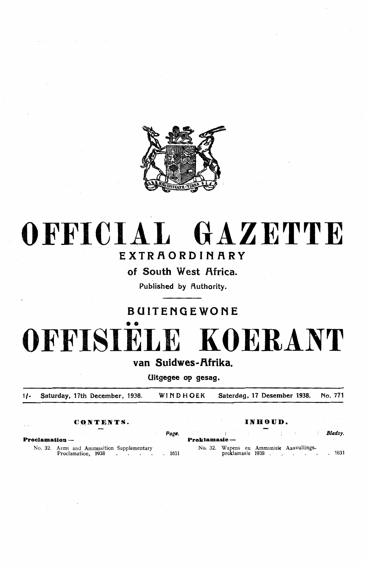

## OFFICIAL GAZETTE

## EXTRAORDINARY

of South West Africa.

Published by Authority.

### BUITENGEWONE

# •• OFFISIELE KOERANT

van Suidwes-Afrika.

Uitgegee op gesag.

1/- Saturday, 17th December, 1938. WINDHOEK Saterdag, 17 Desember 1938. No. 771

### **C \_QNTENTS. INHOUD.**

*Page.* **Bladsy. Bladsy. Proclamation** - **Proklamasie** - No. 32. Arms and Ammunition Supplementary<br>Proclamation, 1938. Represent a metal is a metal of the Supplementary containing to the Manus of Annunisie Annunisie Annunisies Annunisies Annunisies Annunisies Annunisies Annunisies Annunisies Annunisies Annunisies Annunisies Annunisies Annu